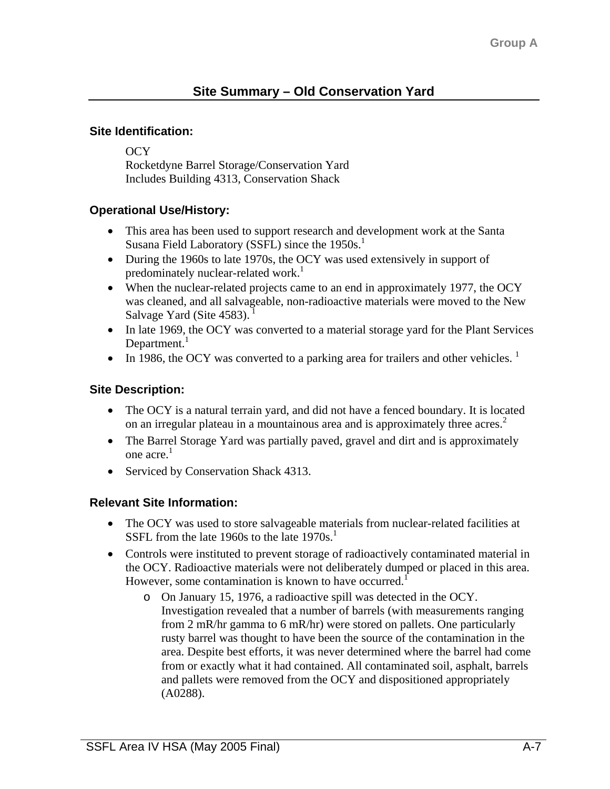#### **Site Identification:**

OCY Rocketdyne Barrel Storage/Conservation Yard Includes Building 4313, Conservation Shack

## **Operational Use/History:**

- This area has been used to support research and development work at the Santa Susana Field Laboratory (SSFL) since the  $1950s<sup>1</sup>$
- During the 1960s to late 1970s, the OCY was used extensively in support of predominately nuclear-related work.<sup>1</sup>
- When the nuclear-related projects came to an end in approximately 1977, the OCY was cleaned, and all salvageable, non-radioactive materials were moved to the New Salvage Yard (Site  $4583$ ).
- In late 1969, the OCY was converted to a material storage yard for the Plant Services Department. $<sup>1</sup>$ </sup>
- In 1986, the OCY was converted to a parking area for trailers and other vehicles.  $<sup>1</sup>$ </sup>

## **Site Description:**

- The OCY is a natural terrain yard, and did not have a fenced boundary. It is located on an irregular plateau in a mountainous area and is approximately three acres.<sup>2</sup>
- The Barrel Storage Yard was partially paved, gravel and dirt and is approximately one acre. 1
- Serviced by Conservation Shack 4313.

## **Relevant Site Information:**

- The OCY was used to store salvageable materials from nuclear-related facilities at SSFL from the late 1960s to the late  $1970s$ <sup>1</sup>
- Controls were instituted to prevent storage of radioactively contaminated material in the OCY. Radioactive materials were not deliberately dumped or placed in this area. However, some contamination is known to have occurred.<sup>1</sup>
	- o On January 15, 1976, a radioactive spill was detected in the OCY. Investigation revealed that a number of barrels (with measurements ranging from 2 mR/hr gamma to 6 mR/hr) were stored on pallets. One particularly rusty barrel was thought to have been the source of the contamination in the area. Despite best efforts, it was never determined where the barrel had come from or exactly what it had contained. All contaminated soil, asphalt, barrels and pallets were removed from the OCY and dispositioned appropriately (A0288).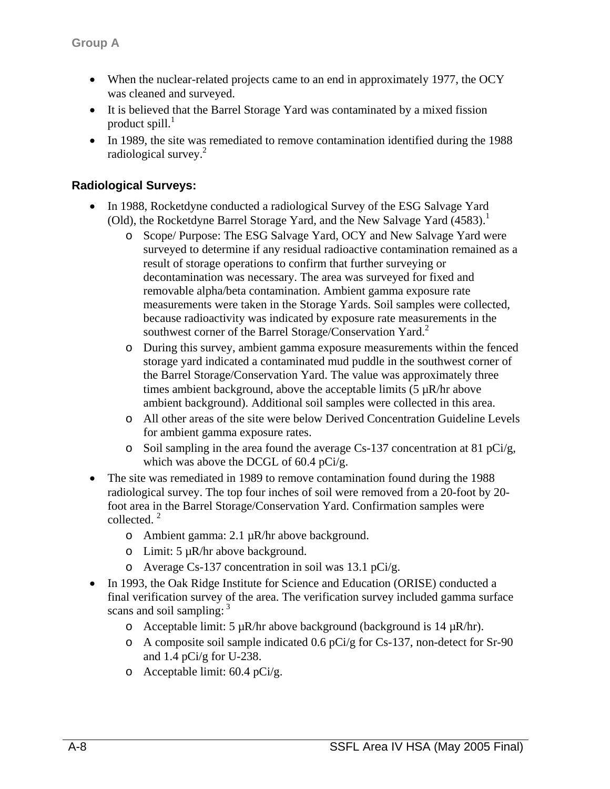- When the nuclear-related projects came to an end in approximately 1977, the OCY was cleaned and surveyed.
- It is believed that the Barrel Storage Yard was contaminated by a mixed fission product spill. $<sup>1</sup>$ </sup>
- In 1989, the site was remediated to remove contamination identified during the 1988 radiological survey.<sup>2</sup>

#### **Radiological Surveys:**

- In 1988, Rocketdyne conducted a radiological Survey of the ESG Salvage Yard (Old), the Rocketdyne Barrel Storage Yard, and the New Salvage Yard  $(4583)$ .<sup>1</sup>
	- o Scope/ Purpose: The ESG Salvage Yard, OCY and New Salvage Yard were surveyed to determine if any residual radioactive contamination remained as a result of storage operations to confirm that further surveying or decontamination was necessary. The area was surveyed for fixed and removable alpha/beta contamination. Ambient gamma exposure rate measurements were taken in the Storage Yards. Soil samples were collected, because radioactivity was indicated by exposure rate measurements in the southwest corner of the Barrel Storage/Conservation Yard.<sup>2</sup>
	- o During this survey, ambient gamma exposure measurements within the fenced storage yard indicated a contaminated mud puddle in the southwest corner of the Barrel Storage/Conservation Yard. The value was approximately three times ambient background, above the acceptable limits  $(5 \mu R/hr)$  above ambient background). Additional soil samples were collected in this area.
	- o All other areas of the site were below Derived Concentration Guideline Levels for ambient gamma exposure rates.
	- o Soil sampling in the area found the average Cs-137 concentration at 81 pCi/g, which was above the DCGL of 60.4 pCi/g.
- The site was remediated in 1989 to remove contamination found during the 1988 radiological survey. The top four inches of soil were removed from a 20-foot by 20 foot area in the Barrel Storage/Conservation Yard. Confirmation samples were collected. $2$ 
	- o Ambient gamma: 2.1 µR/hr above background.
	- o Limit: 5 µR/hr above background.
	- o Average Cs-137 concentration in soil was 13.1 pCi/g.
- In 1993, the Oak Ridge Institute for Science and Education (ORISE) conducted a final verification survey of the area. The verification survey included gamma surface scans and soil sampling:  $3$ 
	- o Acceptable limit:  $5 \mu R/hr$  above background (background is  $14 \mu R/hr$ ).
	- o A composite soil sample indicated 0.6 pCi/g for Cs-137, non-detect for Sr-90 and 1.4 pCi/g for U-238.
	- o Acceptable limit: 60.4 pCi/g.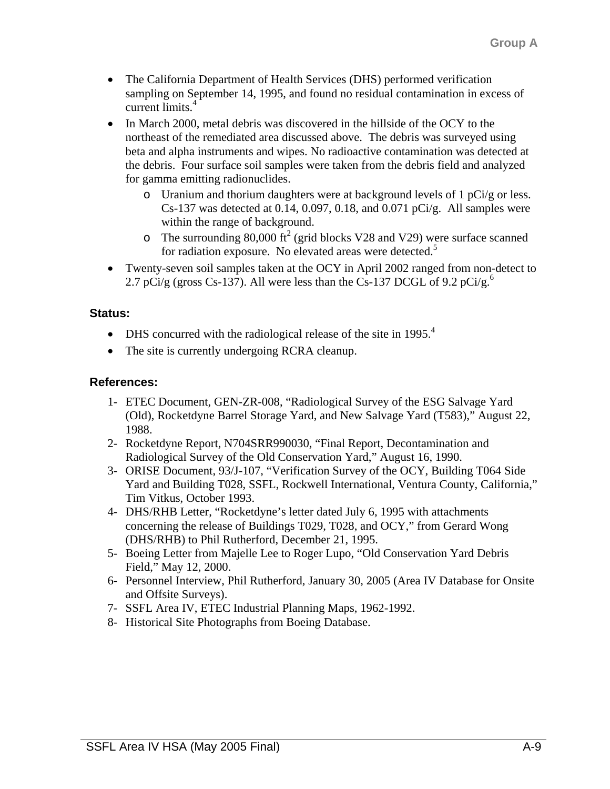- The California Department of Health Services (DHS) performed verification sampling on September 14, 1995, and found no residual contamination in excess of current limits.4
- In March 2000, metal debris was discovered in the hillside of the OCY to the northeast of the remediated area discussed above. The debris was surveyed using beta and alpha instruments and wipes. No radioactive contamination was detected at the debris. Four surface soil samples were taken from the debris field and analyzed for gamma emitting radionuclides.
	- $\circ$  Uranium and thorium daughters were at background levels of 1 pCi/g or less. Cs-137 was detected at 0.14, 0.097, 0.18, and 0.071 pCi/g. All samples were within the range of background.
	- o The surrounding 80,000 ft<sup>2</sup> (grid blocks V28 and V29) were surface scanned for radiation exposure. No elevated areas were detected.<sup>5</sup>
- Twenty-seven soil samples taken at the OCY in April 2002 ranged from non-detect to 2.7 pCi/g (gross Cs-137). All were less than the Cs-137 DCGL of 9.2 pCi/g.<sup>6</sup>

#### **Status:**

- DHS concurred with the radiological release of the site in 1995. $<sup>4</sup>$ </sup>
- The site is currently undergoing RCRA cleanup.

#### **References:**

- 1- ETEC Document, GEN-ZR-008, "Radiological Survey of the ESG Salvage Yard (Old), Rocketdyne Barrel Storage Yard, and New Salvage Yard (T583)," August 22, 1988.
- 2- Rocketdyne Report, N704SRR990030, "Final Report, Decontamination and Radiological Survey of the Old Conservation Yard," August 16, 1990.
- 3- ORISE Document, 93/J-107, "Verification Survey of the OCY, Building T064 Side Yard and Building T028, SSFL, Rockwell International, Ventura County, California," Tim Vitkus, October 1993.
- 4- DHS/RHB Letter, "Rocketdyne's letter dated July 6, 1995 with attachments concerning the release of Buildings T029, T028, and OCY," from Gerard Wong (DHS/RHB) to Phil Rutherford, December 21, 1995.
- 5- Boeing Letter from Majelle Lee to Roger Lupo, "Old Conservation Yard Debris Field," May 12, 2000.
- 6- Personnel Interview, Phil Rutherford, January 30, 2005 (Area IV Database for Onsite and Offsite Surveys).
- 7- SSFL Area IV, ETEC Industrial Planning Maps, 1962-1992.
- 8- Historical Site Photographs from Boeing Database.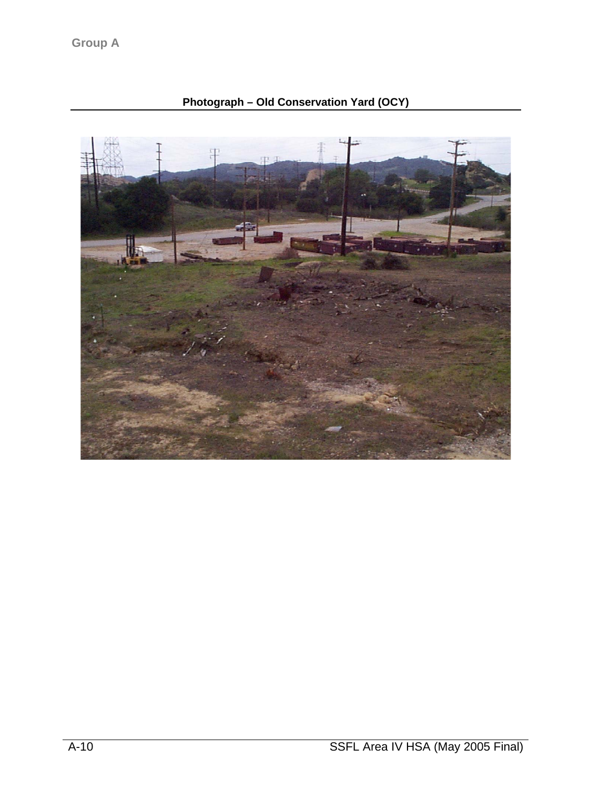# **Photograph – Old Conservation Yard (OCY)**